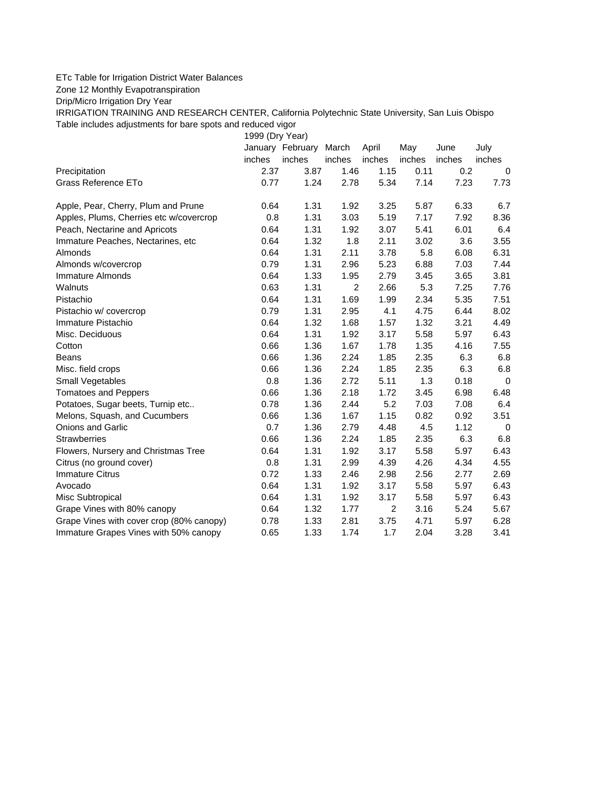## ETc Table for Irrigation District Water Balances

Zone 12 Monthly Evapotranspiration

Drip/Micro Irrigation Dry Year

IRRIGATION TRAINING AND RESEARCH CENTER, California Polytechnic State University, San Luis Obispo Table includes adjustments for bare spots and reduced vigor

1999 (Dry Year)

|                                          |        | January February March |                | April  | May    | June   | July        |
|------------------------------------------|--------|------------------------|----------------|--------|--------|--------|-------------|
|                                          | inches | inches                 | inches         | inches | inches | inches | inches      |
| Precipitation                            | 2.37   | 3.87                   | 1.46           | 1.15   | 0.11   | 0.2    | $\Omega$    |
| Grass Reference ETo                      | 0.77   | 1.24                   | 2.78           | 5.34   | 7.14   | 7.23   | 7.73        |
| Apple, Pear, Cherry, Plum and Prune      | 0.64   | 1.31                   | 1.92           | 3.25   | 5.87   | 6.33   | 6.7         |
| Apples, Plums, Cherries etc w/covercrop  | 0.8    | 1.31                   | 3.03           | 5.19   | 7.17   | 7.92   | 8.36        |
| Peach, Nectarine and Apricots            | 0.64   | 1.31                   | 1.92           | 3.07   | 5.41   | 6.01   | 6.4         |
| Immature Peaches, Nectarines, etc        | 0.64   | 1.32                   | 1.8            | 2.11   | 3.02   | 3.6    | 3.55        |
| Almonds                                  | 0.64   | 1.31                   | 2.11           | 3.78   | 5.8    | 6.08   | 6.31        |
| Almonds w/covercrop                      | 0.79   | 1.31                   | 2.96           | 5.23   | 6.88   | 7.03   | 7.44        |
| Immature Almonds                         | 0.64   | 1.33                   | 1.95           | 2.79   | 3.45   | 3.65   | 3.81        |
| Walnuts                                  | 0.63   | 1.31                   | $\overline{2}$ | 2.66   | 5.3    | 7.25   | 7.76        |
| Pistachio                                | 0.64   | 1.31                   | 1.69           | 1.99   | 2.34   | 5.35   | 7.51        |
| Pistachio w/ covercrop                   | 0.79   | 1.31                   | 2.95           | 4.1    | 4.75   | 6.44   | 8.02        |
| Immature Pistachio                       | 0.64   | 1.32                   | 1.68           | 1.57   | 1.32   | 3.21   | 4.49        |
| Misc. Deciduous                          | 0.64   | 1.31                   | 1.92           | 3.17   | 5.58   | 5.97   | 6.43        |
| Cotton                                   | 0.66   | 1.36                   | 1.67           | 1.78   | 1.35   | 4.16   | 7.55        |
| <b>Beans</b>                             | 0.66   | 1.36                   | 2.24           | 1.85   | 2.35   | 6.3    | 6.8         |
| Misc. field crops                        | 0.66   | 1.36                   | 2.24           | 1.85   | 2.35   | 6.3    | 6.8         |
| Small Vegetables                         | 0.8    | 1.36                   | 2.72           | 5.11   | 1.3    | 0.18   | $\mathbf 0$ |
| <b>Tomatoes and Peppers</b>              | 0.66   | 1.36                   | 2.18           | 1.72   | 3.45   | 6.98   | 6.48        |
| Potatoes, Sugar beets, Turnip etc        | 0.78   | 1.36                   | 2.44           | 5.2    | 7.03   | 7.08   | 6.4         |
| Melons, Squash, and Cucumbers            | 0.66   | 1.36                   | 1.67           | 1.15   | 0.82   | 0.92   | 3.51        |
| <b>Onions and Garlic</b>                 | 0.7    | 1.36                   | 2.79           | 4.48   | 4.5    | 1.12   | $\mathbf 0$ |
| <b>Strawberries</b>                      | 0.66   | 1.36                   | 2.24           | 1.85   | 2.35   | 6.3    | 6.8         |
| Flowers, Nursery and Christmas Tree      | 0.64   | 1.31                   | 1.92           | 3.17   | 5.58   | 5.97   | 6.43        |
| Citrus (no ground cover)                 | 0.8    | 1.31                   | 2.99           | 4.39   | 4.26   | 4.34   | 4.55        |
| <b>Immature Citrus</b>                   | 0.72   | 1.33                   | 2.46           | 2.98   | 2.56   | 2.77   | 2.69        |
| Avocado                                  | 0.64   | 1.31                   | 1.92           | 3.17   | 5.58   | 5.97   | 6.43        |
| Misc Subtropical                         | 0.64   | 1.31                   | 1.92           | 3.17   | 5.58   | 5.97   | 6.43        |
| Grape Vines with 80% canopy              | 0.64   | 1.32                   | 1.77           | 2      | 3.16   | 5.24   | 5.67        |
| Grape Vines with cover crop (80% canopy) | 0.78   | 1.33                   | 2.81           | 3.75   | 4.71   | 5.97   | 6.28        |
| Immature Grapes Vines with 50% canopy    | 0.65   | 1.33                   | 1.74           | 1.7    | 2.04   | 3.28   | 3.41        |